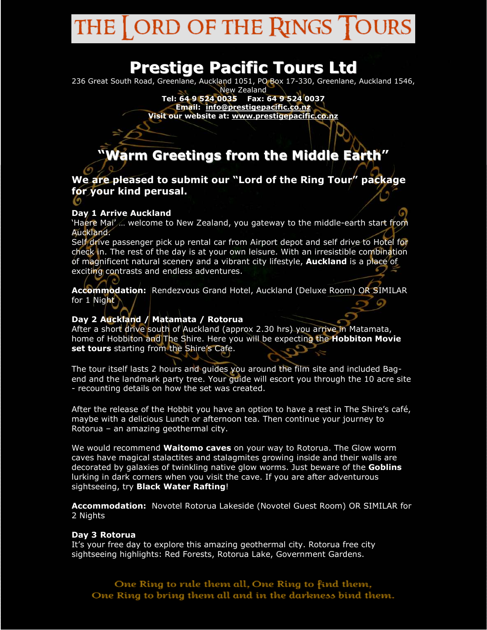#### ORD OF THE RINGS THE **i** OURS

# **Prestige Pacific Tours Ltd**

236 Great South Road, Greenlane, Auckland 1051, PO Box 17-330, Greenlane, Auckland 1546,

New Zealand **Tel: 64 9 524 0035 Fax: 64 9 524 0037 Email: info@prestigepacific.co.nz Visit our website at: www.prestigepacific.co.nz**

**"Warm Greetings from the Middle Earth"**

**We are pleased to submit our "Lord of the Ring Tour" package for your kind perusal.** 

# **Day 1 Arrive Auckland**

'Haere Mai' ... welcome to New Zealand, you gateway to the middle-earth start from Auckland.

Self drive passenger pick up rental car from Airport depot and self drive to Hotel for check in. The rest of the day is at your own leisure. With an irresistible combination of magnificent natural scenery and a vibrant city lifestyle, **Auckland** is a place of exciting contrasts and endless adventures.

**Accommodation:** Rendezvous Grand Hotel, Auckland (Deluxe Room) OR SIMILAR for 1 Night

# **Day 2 Auckland / Matamata / Rotorua**

After a short drive south of Auckland (approx 2.30 hrs) you arrive in Matamata, home of Hobbiton and The Shire. Here you will be expecting the **Hobbiton Movie set tours** starting from the Shire's Cafe.

The tour itself lasts 2 hours and guides you around the film site and included Bagend and the landmark party tree. Your guide will escort you through the 10 acre site - recounting details on how the set was created.

After the release of the Hobbit you have an option to have a rest in The Shire's café, maybe with a delicious Lunch or afternoon tea. Then continue your journey to Rotorua – an amazing geothermal city.

We would recommend **Waitomo caves** on your way to Rotorua. The Glow worm caves have magical stalactites and stalagmites growing inside and their walls are decorated by galaxies of twinkling native glow worms. Just beware of the **Goblins** lurking in dark corners when you visit the cave. If you are after adventurous sightseeing, try **Black Water Rafting**!

**Accommodation:** Novotel Rotorua Lakeside (Novotel Guest Room) OR SIMILAR for 2 Nights

# **Day 3 Rotorua**

It's your free day to explore this amazing geothermal city. Rotorua free city sightseeing highlights: Red Forests, Rotorua Lake, Government Gardens.

One Ring to rule them all, One Ring to find them, One Ring to bring them all and in the darkness bind them.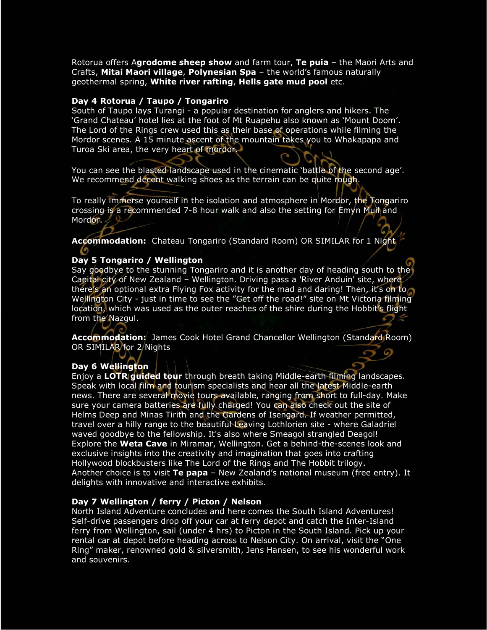Rotorua offers A**grodome sheep show** and farm tour, **Te puia** – the Maori Arts and Crafts, **Mitai Maori village**, **Polynesian Spa** – the world's famous naturally geothermal spring, **White river rafting**, **Hells gate mud pool** etc.

#### **Day 4 Rotorua / Taupo / Tongariro**

South of Taupo lays Turangi - a popular destination for anglers and hikers. The 'Grand Chateau' hotel lies at the foot of Mt Ruapehu also known as 'Mount Doom'. The Lord of the Rings crew used this as their base of operations while filming the Mordor scenes. A 15 minute ascent of the mountain takes you to Whakapapa and Turoa Ski area, the very heart of mordor.

You can see the blasted landscape used in the cinematic 'battle of the second age'. We recommend decent walking shoes as the terrain can be quite rough.

To really immerse yourself in the isolation and atmosphere in Mordor, the Tongariro crossing is a recommended 7-8 hour walk and also the setting for Emyn Muil and Mordor.

**Accommodation:** Chateau Tongariro (Standard Room) OR SIMILAR for 1 Night

### **Day 5 Tongariro / Wellington**

Say goodbye to the stunning Tongariro and it is another day of heading south to the Capital city of New Zealand – Wellington. Driving pass a 'River Anduin' site, where there's an optional extra Flying Fox activity for the mad and daring! Then, it's on to Wellington City - just in time to see the "Get off the road!" site on Mt Victoria filming location, which was used as the outer reaches of the shire during the Hobbit's flight from the Nazgul. E

**Accommodation:** James Cook Hotel Grand Chancellor Wellington (Standard Room) OR SIMILAR for 2 Nights

# **Day 6 Wellington**

Enjoy a **LOTR guided tour** through breath taking Middle-earth filming landscapes. Speak with local film and tourism specialists and hear all the latest Middle-earth news. There are several movie tours available, ranging from short to full-day. Make sure your camera batteries are fully charged! You can also check out the site of Helms Deep and Minas Tirith and the Gardens of Isengard. If weather permitted, travel over a hilly range to the beautiful Leaving Lothlorien site - where Galadriel waved goodbye to the fellowship. It's also where Smeagol strangled Deagol! Explore the **Weta Cave** in Miramar, Wellington. Get a behind-the-scenes look and exclusive insights into the creativity and imagination that goes into crafting Hollywood blockbusters like The Lord of the Rings and The Hobbit trilogy. Another choice is to visit **Te papa** – New Zealand's national museum (free entry). It delights with innovative and interactive exhibits.

#### **Day 7 Wellington / ferry / Picton / Nelson**

North Island Adventure concludes and here comes the South Island Adventures! Self-drive passengers drop off your car at ferry depot and catch the Inter-Island ferry from Wellington, sail (under 4 hrs) to Picton in the South Island. Pick up your rental car at depot before heading across to Nelson City. On arrival, visit the "One Ring" maker, renowned gold & silversmith, Jens Hansen, to see his wonderful work and souvenirs.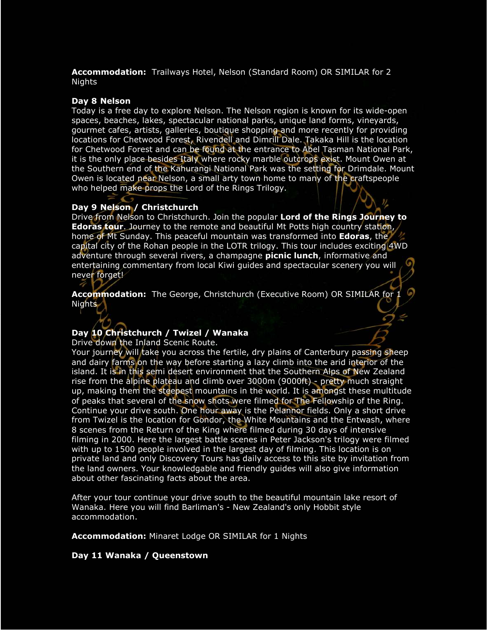**Accommodation:** Trailways Hotel, Nelson (Standard Room) OR SIMILAR for 2 Nights

#### **Day 8 Nelson**

Today is a free day to explore Nelson. The Nelson region is known for its wide-open spaces, beaches, lakes, spectacular national parks, unique land forms, vineyards, gourmet cafes, artists, galleries, boutique shopping and more recently for providing locations for Chetwood Forest, Rivendell and Dimrill Dale. Takaka Hill is the location for Chetwood Forest and can be found at the entrance to Abel Tasman National Park, it is the only place besides Italy where rocky marble outcrops exist. Mount Owen at the Southern end of the Kahurangi National Park was the setting for Drimdale. Mount Owen is located near Nelson, a small arty town home to many of the craftspeople who helped make props the Lord of the Rings Trilogy.

#### **Day 9 Nelson / Christchurch**

Drive from Nelson to Christchurch. Join the popular **Lord of the Rings Journey to Edoras tour**. Journey to the remote and beautiful Mt Potts high country station, home of Mt Sunday. This peaceful mountain was transformed into **Edoras**, the capital city of the Rohan people in the LOTR trilogy. This tour includes exciting 4WD adventure through several rivers, a champagne **picnic lunch**, informative and entertaining commentary from local Kiwi guides and spectacular scenery you will never forget!

**Accommodation:** The George, Christchurch (Executive Room) OR SIMILAR for 1 Nights

# **Day 10 Christchurch / Twizel / Wanaka**

Drive down the Inland Scenic Route.

Your journey will take you across the fertile, dry plains of Canterbury passing sheep and dairy farms on the way before starting a lazy climb into the arid interior of the island. It is in this semi desert environment that the Southern Alps of New Zealand rise from the alpine plateau and climb over 3000m (9000ft) - pretty much straight up, making them the steepest mountains in the world. It is amongst these multitude of peaks that several of the snow shots were filmed for The Fellowship of the Ring. Continue your drive south. One hour away is the Pelannor fields. Only a short drive from Twizel is the location for Gondor, the White Mountains and the Entwash, where 8 scenes from the Return of the King where filmed during 30 days of intensive filming in 2000. Here the largest battle scenes in Peter Jackson's trilogy were filmed with up to 1500 people involved in the largest day of filming. This location is on private land and only Discovery Tours has daily access to this site by invitation from the land owners. Your knowledgable and friendly guides will also give information about other fascinating facts about the area.

After your tour continue your drive south to the beautiful mountain lake resort of Wanaka. Here you will find Barliman's - New Zealand's only Hobbit style accommodation.

**Accommodation:** Minaret Lodge OR SIMILAR for 1 Nights

#### **Day 11 Wanaka / Queenstown**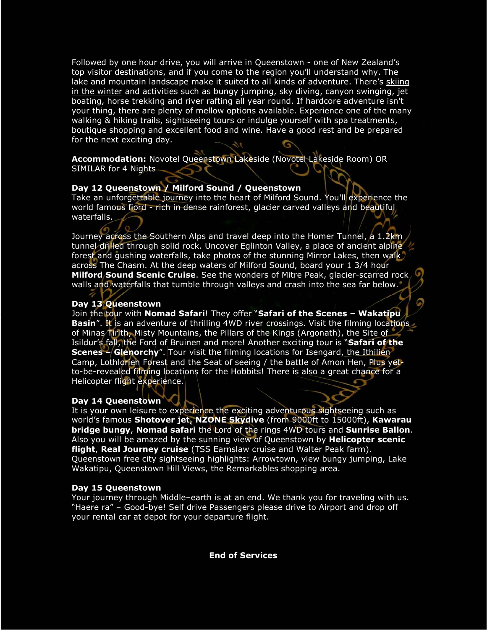Followed by one hour drive, you will arrive in Queenstown - one of New Zealand's top visitor destinations, and if you come to the region you'll understand why. The lake and mountain landscape make it suited to all kinds of adventure. There's skiing in the winter and activities such as bungy jumping, sky diving, canyon swinging, jet boating, horse trekking and river rafting all year round. If hardcore adventure isn't your thing, there are plenty of mellow options available. Experience one of the many walking & hiking trails, sightseeing tours or indulge yourself with spa treatments, boutique shopping and excellent food and wine. Have a good rest and be prepared for the next exciting day.

**Accommodation:** Novotel Queenstown Lakeside (Novotel Lakeside Room) OR SIMILAR for 4 Nights

# **Day 12 Queenstown / Milford Sound / Queenstown**

Take an unforgettable journey into the heart of Milford Sound. You'll experience the world famous fiord - rich in dense rainforest, glacier carved valleys and beautiful waterfalls.

Journey across the Southern Alps and travel deep into the Homer Tunnel, a 1.2km tunnel drilled through solid rock. Uncover Eglinton Valley, a place of ancient alpine forest and gushing waterfalls, take photos of the stunning Mirror Lakes, then walk across The Chasm. At the deep waters of Milford Sound, board your 1 3/4 hour **Milford Sound Scenic Cruise**. See the wonders of Mitre Peak, glacier-scarred rock walls and waterfalls that tumble through valleys and crash into the sea far below.

# **Day 13 Queenstown**

Join the tour with **Nomad Safari**! They offer "**Safari of the Scenes – Wakatipu Basin**". It is an adventure of thrilling 4WD river crossings. Visit the filming locations of Minas Tirith, Misty Mountains, the Pillars of the Kings (Argonath), the Site of Isildur's fall, the Ford of Bruinen and more! Another exciting tour is "**Safari of the Scenes - Glenorchy**". Tour visit the filming locations for Isengard, the Ithilien Camp, Lothlorien Forest and the Seat of seeing / the battle of Amon Hen, Plus yetto-be-revealed filming locations for the Hobbits! There is also a great chance for a Helicopter flight experience.

# **Day 14 Queenstown**

It is your own leisure to experience the exciting adventurous sightseeing such as world's famous **Shotover jet**, **NZONE Skydive** (from 9000ft to 15000ft), **Kawarau bridge bungy**, **Nomad safari** the Lord of the rings 4WD tours and **Sunrise Ballon**. Also you will be amazed by the sunning view of Queenstown by **Helicopter scenic flight**, **Real Journey cruise** (TSS Earnslaw cruise and Walter Peak farm). Queenstown free city sightseeing highlights: Arrowtown, view bungy jumping, Lake Wakatipu, Queenstown Hill Views, the Remarkables shopping area.

# **Day 15 Queenstown**

Your journey through Middle–earth is at an end. We thank you for traveling with us. "Haere ra" – Good-bye! Self drive Passengers please drive to Airport and drop off your rental car at depot for your departure flight.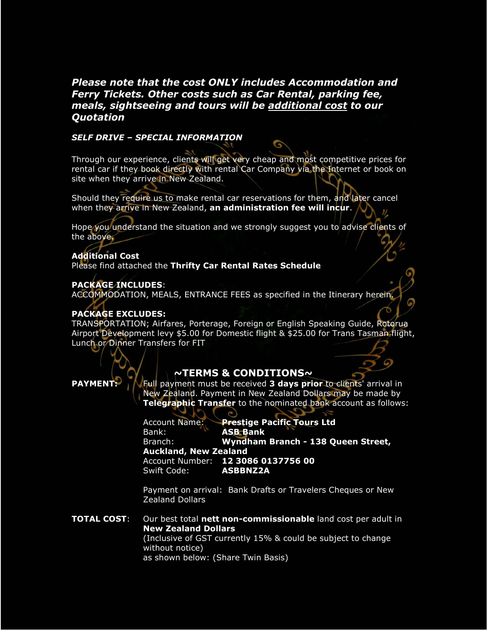# *Please note that the cost ONLY includes Accommodation and Ferry Tickets. Other costs such as Car Rental, parking fee, meals, sightseeing and tours will be additional cost to our Quotation*

### *SELF DRIVE – SPECIAL INFORMATION*

Through our experience, clients will get very cheap and most competitive prices for rental car if they book directly with rental Car Company via the Internet or book on site when they arrive in New Zealand.

Should they require us to make rental car reservations for them, and later cancel when they arrive in New Zealand, **an administration fee will incur**.

Hope you understand the situation and we strongly suggest you to advise clients of the above.

### **Additional Cost**

Please find attached the **Thrifty Car Rental Rates Schedule** 

#### **PACKAGE INCLUDES**:

ACCOMMODATION, MEALS, ENTRANCE FEES as specified in the Itinerary herein.

#### **PACKAGE EXCLUDES:**

TRANSPORTATION; Airfares, Porterage, Foreign or English Speaking Guide, Rotorua Airport Development levy \$5.00 for Domestic flight & \$25.00 for Trans Tasman flight, Lunch or Dinner Transfers for FIT

# **~TERMS & CONDITIONS~**

**PAYMENT:** A Full payment must be received **3 days prior** to clients' arrival in New Zealand. Payment in New Zealand Dollars may be made by **Telegraphic Transfer** to the nominated bank account as follows:

> Account Name: **Prestige Pacific Tours Ltd**  Bank: **ASB Bank**  Branch: **Wyndham Branch - 138 Queen Street, Auckland, New Zealand**  Account Number: **12 3086 0137756 00**  Swift Code: **ASBBNZ2A**

Payment on arrival: Bank Drafts or Travelers Cheques or New Zealand Dollars

**TOTAL COST**: Our best total **nett non-commissionable** land cost per adult in **New Zealand Dollars** (Inclusive of GST currently 15% & could be subject to change without notice) as shown below: (Share Twin Basis)